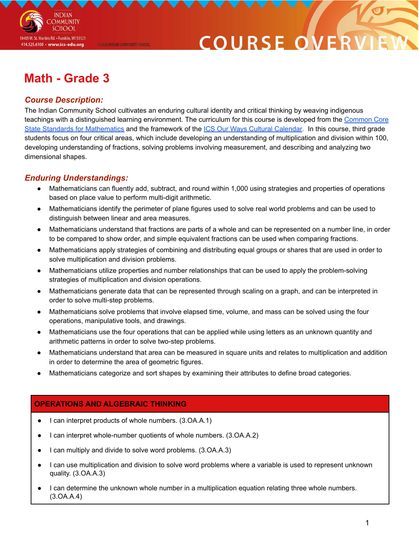

# **COURSE O**

# **Math - Grade 3**

@2020 INDIAN COMMUNITY SCHOOL

# *Course Description:*

The Indian Community School cultivates an enduring cultural identity and critical thinking by weaving indigenous teachings with a distinguished learning environment. The curriculum for this course is developed from the [Common](http://www.corestandards.org/Math/) Core State Standards for [Mathematics](http://www.corestandards.org/Math/) and the framework of the ICS Our Ways Cultural [Calendar.](https://drive.google.com/open?id=0B7pONXiRIufTT3VHOXBBeG9USHMzbDNIUi1nV0NTbURCMFRZ) In this course, third grade students focus on four critical areas, which include developing an understanding of multiplication and division within 100, developing understanding of fractions, solving problems involving measurement, and describing and analyzing two dimensional shapes.

## *Enduring Understandings:*

- Mathematicians can fluently add, subtract, and round within 1,000 using strategies and properties of operations based on place value to perform multi-digit arithmetic.
- Mathematicians identify the perimeter of plane figures used to solve real world problems and can be used to distinguish between linear and area measures.
- Mathematicians understand that fractions are parts of a whole and can be represented on a number line, in order to be compared to show order, and simple equivalent fractions can be used when comparing fractions.
- Mathematicians apply strategies of combining and distributing equal groups or shares that are used in order to solve multiplication and division problems.
- Mathematicians utilize properties and number relationships that can be used to apply the problem-solving strategies of multiplication and division operations.
- Mathematicians generate data that can be represented through scaling on a graph, and can be interpreted in order to solve multi-step problems.
- Mathematicians solve problems that involve elapsed time, volume, and mass can be solved using the four operations, manipulative tools, and drawings.
- Mathematicians use the four operations that can be applied while using letters as an unknown quantity and arithmetic patterns in order to solve two-step problems.
- Mathematicians understand that area can be measured in square units and relates to multiplication and addition in order to determine the area of geometric figures.
- Mathematicians categorize and sort shapes by examining their attributes to define broad categories.

## **OPERATIONS AND ALGEBRAIC THINKING**

- I can interpret products of whole numbers. (3.OA.A.1)
- I can interpret whole-number quotients of whole numbers. (3.OA.A.2)
- I can multiply and divide to solve word problems. (3.OA.A.3)
- I can use multiplication and division to solve word problems where a variable is used to represent unknown quality. (3.OA.A.3)
- I can determine the unknown whole number in a multiplication equation relating three whole numbers. (3.OA.A.4)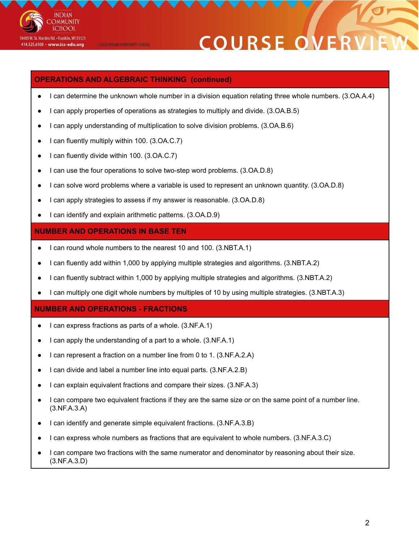

@2020 INDIAN COMMUNITY SCHOOL

# **COURSE OVE**

### **OPERATIONS AND ALGEBRAIC THINKING (continued)**

- I can determine the unknown whole number in a division equation relating three whole numbers. (3.OA.A.4)
- I can apply properties of operations as strategies to multiply and divide. (3.OA.B.5)
- I can apply understanding of multiplication to solve division problems. (3.OA.B.6)
- I can fluently multiply within 100. (3.OA.C.7)
- I can fluently divide within 100. (3.OA.C.7)
- I can use the four operations to solve two-step word problems. (3.OA.D.8)
- I can solve word problems where a variable is used to represent an unknown quantity. (3.OA.D.8)
- I can apply strategies to assess if my answer is reasonable. (3.OA.D.8)
- I can identify and explain arithmetic patterns. (3.OA.D.9)

#### **NUMBER AND OPERATIONS IN BASE TEN**

- I can round whole numbers to the nearest 10 and 100. (3.NBT.A.1)
- I can fluently add within 1,000 by applying multiple strategies and algorithms. (3.NBT.A.2)
- I can fluently subtract within 1,000 by applying multiple strategies and algorithms. (3.NBT.A.2)
- I can multiply one digit whole numbers by multiples of 10 by using multiple strategies. (3.NBT.A.3)

#### **NUMBER AND OPERATIONS - FRACTIONS**

- I can express fractions as parts of a whole. (3.NF.A.1)
- $\bullet$  I can apply the understanding of a part to a whole. (3.NF.A.1)
- I can represent a fraction on a number line from 0 to 1. (3.NF.A.2.A)
- I can divide and label a number line into equal parts. (3.NF.A.2.B)
- I can explain equivalent fractions and compare their sizes. (3.NF.A.3)
- I can compare two equivalent fractions if they are the same size or on the same point of a number line. (3.NF.A.3.A)
- I can identify and generate simple equivalent fractions. (3.NF.A.3.B)
- I can express whole numbers as fractions that are equivalent to whole numbers. (3.NF.A.3.C)
- I can compare two fractions with the same numerator and denominator by reasoning about their size. (3.NF.A.3.D)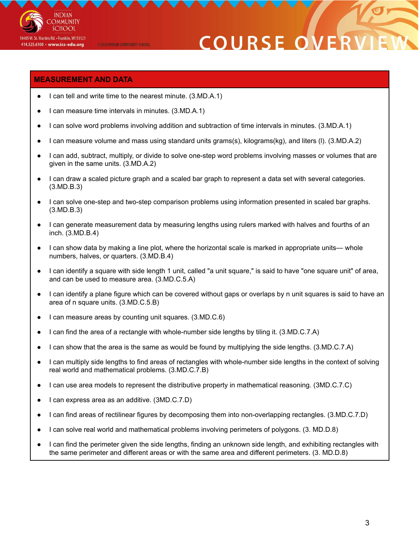

# **COURSE O**

### **MEASUREMENT AND DATA**

- I can tell and write time to the nearest minute. (3.MD.A.1)
- I can measure time intervals in minutes. (3.MD.A.1)

@2020 INDIAN COMMUNITY SCHOOL

- I can solve word problems involving addition and subtraction of time intervals in minutes. (3.MD.A.1)
- I can measure volume and mass using standard units grams(s), kilograms(kg), and liters (I). (3.MD.A.2)
- I can add, subtract, multiply, or divide to solve one-step word problems involving masses or volumes that are given in the same units. (3.MD.A.2)
- I can draw a scaled picture graph and a scaled bar graph to represent a data set with several categories. (3.MD.B.3)
- I can solve one-step and two-step comparison problems using information presented in scaled bar graphs. (3.MD.B.3)
- I can generate measurement data by measuring lengths using rulers marked with halves and fourths of an inch. (3.MD.B.4)
- I can show data by making a line plot, where the horizontal scale is marked in appropriate units— whole numbers, halves, or quarters. (3.MD.B.4)
- I can identify a square with side length 1 unit, called "a unit square," is said to have "one square unit" of area, and can be used to measure area. (3.MD.C.5.A)
- I can identify a plane figure which can be covered without gaps or overlaps by n unit squares is said to have an area of n square units. (3.MD.C.5.B)
- I can measure areas by counting unit squares. (3.MD.C.6)
- I can find the area of a rectangle with whole-number side lengths by tiling it. (3.MD.C.7.A)
- I can show that the area is the same as would be found by multiplying the side lengths. (3.MD.C.7.A)
- I can multiply side lengths to find areas of rectangles with whole-number side lengths in the context of solving real world and mathematical problems. (3.MD.C.7.B)
- I can use area models to represent the distributive property in mathematical reasoning. (3MD.C.7.C)
- I can express area as an additive. (3MD.C.7.D)
- I can find areas of rectilinear figures by decomposing them into non-overlapping rectangles. (3.MD.C.7.D)
- I can solve real world and mathematical problems involving perimeters of polygons. (3. MD.D.8)
- I can find the perimeter given the side lengths, finding an unknown side length, and exhibiting rectangles with the same perimeter and different areas or with the same area and different perimeters. (3. MD.D.8)